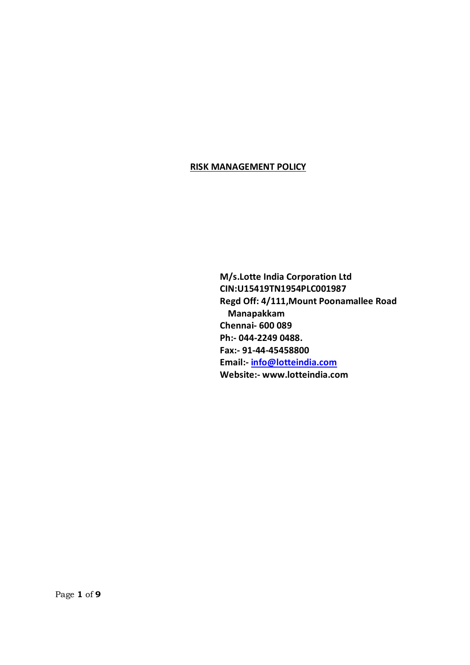### **RISK MANAGEMENT POLICY**

 **M/s.Lotte India Corporation Ltd CIN:U15419TN1954PLC001987 Regd Off: 4/111,Mount Poonamallee Road Manapakkam Chennai- 600 089 Ph:- 044-2[249 0488.](mailto:info@lotteindia.com) Fax:- 91-44-45458800 Email:- info@lotteindia.com Website:- www.lotteindia.com**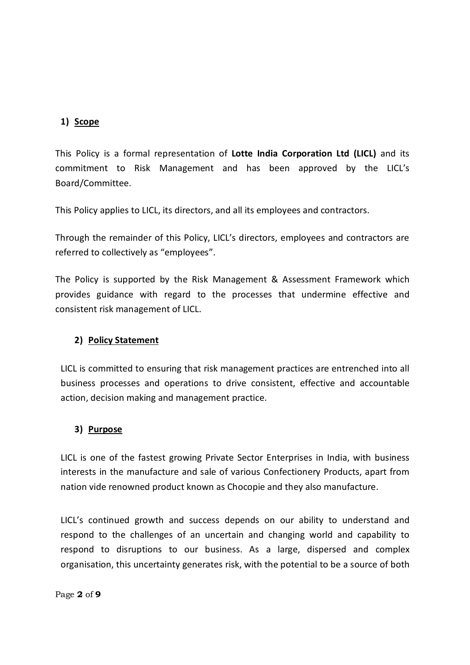## **1) Scope**

This Policy is a formal representation of **Lotte India Corporation Ltd (LICL)** and its commitment to Risk Management and has been approved by the LICL's Board/Committee.

This Policy applies to LICL, its directors, and all its employees and contractors.

Through the remainder of this Policy, LICL's directors, employees and contractors are referred to collectively as "employees".

The Policy is supported by the Risk Management & Assessment Framework which provides guidance with regard to the processes that undermine effective and consistent risk management of LICL.

### **2) Policy Statement**

LICL is committed to ensuring that risk management practices are entrenched into all business processes and operations to drive consistent, effective and accountable action, decision making and management practice.

### **3) Purpose**

LICL is one of the fastest growing Private Sector Enterprises in India, with business interests in the manufacture and sale of various Confectionery Products, apart from nation vide renowned product known as Chocopie and they also manufacture.

LICL's continued growth and success depends on our ability to understand and respond to the challenges of an uncertain and changing world and capability to respond to disruptions to our business. As a large, dispersed and complex organisation, this uncertainty generates risk, with the potential to be a source of both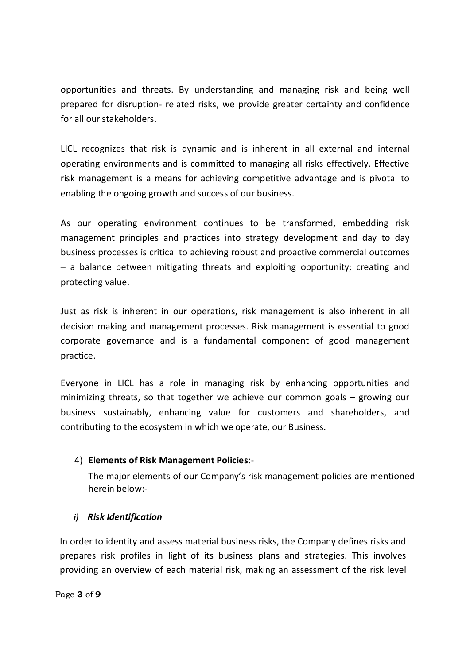opportunities and threats. By understanding and managing risk and being well prepared for disruption- related risks, we provide greater certainty and confidence for all our stakeholders.

LICL recognizes that risk is dynamic and is inherent in all external and internal operating environments and is committed to managing all risks effectively. Effective risk management is a means for achieving competitive advantage and is pivotal to enabling the ongoing growth and success of our business.

As our operating environment continues to be transformed, embedding risk management principles and practices into strategy development and day to day business processes is critical to achieving robust and proactive commercial outcomes – a balance between mitigating threats and exploiting opportunity; creating and protecting value.

Just as risk is inherent in our operations, risk management is also inherent in all decision making and management processes. Risk management is essential to good corporate governance and is a fundamental component of good management practice.

Everyone in LICL has a role in managing risk by enhancing opportunities and minimizing threats, so that together we achieve our common goals – growing our business sustainably, enhancing value for customers and shareholders, and contributing to the ecosystem in which we operate, our Business.

# 4) **Elements of Risk Management Policies:**-

The major elements of our Company's risk management policies are mentioned herein below:-

### *i) Risk Identification*

In order to identity and assess material business risks, the Company defines risks and prepares risk profiles in light of its business plans and strategies. This involves providing an overview of each material risk, making an assessment of the risk level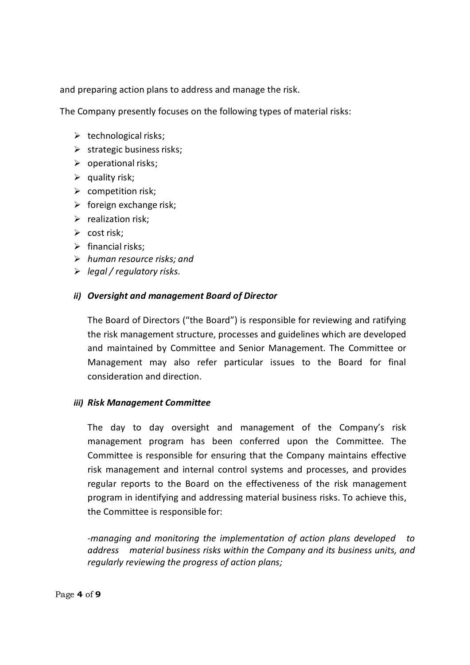and preparing action plans to address and manage the risk.

The Company presently focuses on the following types of material risks:

- $\triangleright$  technological risks;
- $\triangleright$  strategic business risks;
- $\triangleright$  operational risks;
- $\triangleright$  quality risk;
- $\triangleright$  competition risk;
- $\triangleright$  foreign exchange risk;
- $\triangleright$  realization risk;
- $\triangleright$  cost risk;
- $\triangleright$  financial risks:
- ÿ *human resource risks; and*
- ÿ *legal / regulatory risks.*

### *ii) Oversight and management Board of Director*

The Board of Directors ("the Board") is responsible for reviewing and ratifying the risk management structure, processes and guidelines which are developed and maintained by Committee and Senior Management. The Committee or Management may also refer particular issues to the Board for final consideration and direction.

#### *iii) Risk Management Committee*

The day to day oversight and management of the Company's risk management program has been conferred upon the Committee. The Committee is responsible for ensuring that the Company maintains effective risk management and internal control systems and processes, and provides regular reports to the Board on the effectiveness of the risk management program in identifying and addressing material business risks. To achieve this, the Committee is responsible for:

*-managing and monitoring the implementation of action plans developed to address material business risks within the Company and its business units, and regularly reviewing the progress of action plans;*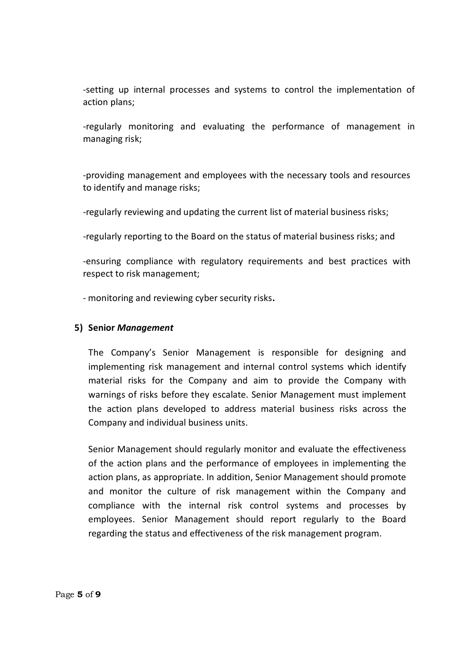-setting up internal processes and systems to control the implementation of action plans;

-regularly monitoring and evaluating the performance of management in managing risk;

-providing management and employees with the necessary tools and resources to identify and manage risks;

-regularly reviewing and updating the current list of material business risks;

-regularly reporting to the Board on the status of material business risks; and

-ensuring compliance with regulatory requirements and best practices with respect to risk management;

- monitoring and reviewing cyber security risks**.**

### **5) Senior** *Management*

The Company's Senior Management is responsible for designing and implementing risk management and internal control systems which identify material risks for the Company and aim to provide the Company with warnings of risks before they escalate. Senior Management must implement the action plans developed to address material business risks across the Company and individual business units.

Senior Management should regularly monitor and evaluate the effectiveness of the action plans and the performance of employees in implementing the action plans, as appropriate. In addition, Senior Management should promote and monitor the culture of risk management within the Company and compliance with the internal risk control systems and processes by employees. Senior Management should report regularly to the Board regarding the status and effectiveness of the risk management program.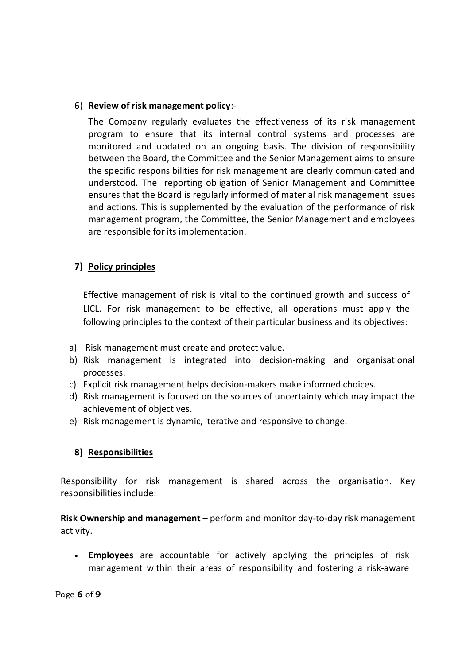## 6) **Review of risk management policy**:-

The Company regularly evaluates the effectiveness of its risk management program to ensure that its internal control systems and processes are monitored and updated on an ongoing basis. The division of responsibility between the Board, the Committee and the Senior Management aims to ensure the specific responsibilities for risk management are clearly communicated and understood. The reporting obligation of Senior Management and Committee ensures that the Board is regularly informed of material risk management issues and actions. This is supplemented by the evaluation of the performance of risk management program, the Committee, the Senior Management and employees are responsible for its implementation.

# **7) Policy principles**

Effective management of risk is vital to the continued growth and success of LICL. For risk management to be effective, all operations must apply the following principles to the context of their particular business and its objectives:

- a) Risk management must create and protect value.
- b) Risk management is integrated into decision-making and organisational processes.
- c) Explicit risk management helps decision-makers make informed choices.
- d) Risk management is focused on the sources of uncertainty which may impact the achievement of objectives.
- e) Risk management is dynamic, iterative and responsive to change.

# **8) Responsibilities**

Responsibility for risk management is shared across the organisation. Key responsibilities include:

**Risk Ownership and management** – perform and monitor day-to-day risk management activity.

· **Employees** are accountable for actively applying the principles of risk management within their areas of responsibility and fostering a risk-aware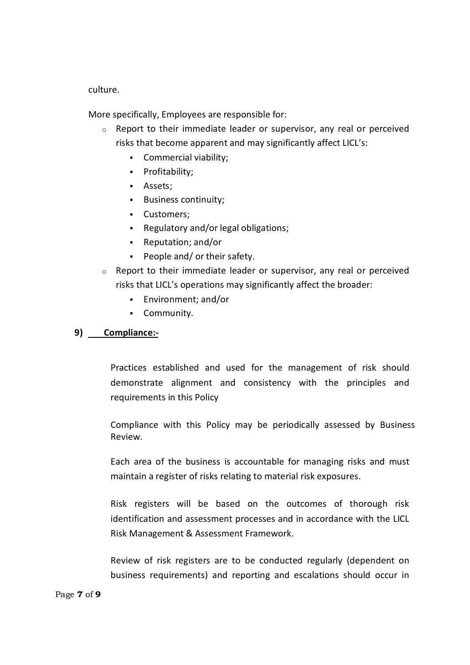culture.

More specifically, Employees are responsible for:

- o Report to their immediate leader or supervisor, any real or perceived risks that become apparent and may significantly affect LICL's:
	- Commercial viability;
	- **•** Profitability;
	- **Assets**;
	- **Business continuity;**
	- **•** Customers;
	- Regulatory and/or legal obligations;
	- Reputation; and/or
	- People and/ or their safety.
- o Report to their immediate leader or supervisor, any real or perceived risks that LICL's operations may significantly affect the broader:
	- ß Environment; and/or
	- **•** Community.

### **9) Compliance:-**

Practices established and used for the management of risk should demonstrate alignment and consistency with the principles and requirements in this Policy

Compliance with this Policy may be periodically assessed by Business Review.

Each area of the business is accountable for managing risks and must maintain a register of risks relating to material risk exposures.

Risk registers will be based on the outcomes of thorough risk identification and assessment processes and in accordance with the LICL Risk Management & Assessment Framework.

Review of risk registers are to be conducted regularly (dependent on business requirements) and reporting and escalations should occur in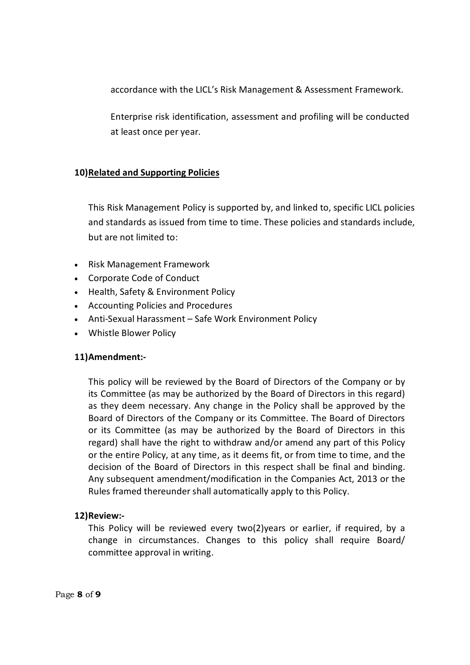accordance with the LICL's Risk Management & Assessment Framework.

Enterprise risk identification, assessment and profiling will be conducted at least once per year.

# **10)Related and Supporting Policies**

This Risk Management Policy is supported by, and linked to, specific LICL policies and standards as issued from time to time. These policies and standards include, but are not limited to:

- · Risk Management Framework
- · Corporate Code of Conduct
- · Health, Safety & Environment Policy
- · Accounting Policies and Procedures
- · Anti-Sexual Harassment Safe Work Environment Policy
- · Whistle Blower Policy

### **11)Amendment:-**

This policy will be reviewed by the Board of Directors of the Company or by its Committee (as may be authorized by the Board of Directors in this regard) as they deem necessary. Any change in the Policy shall be approved by the Board of Directors of the Company or its Committee. The Board of Directors or its Committee (as may be authorized by the Board of Directors in this regard) shall have the right to withdraw and/or amend any part of this Policy or the entire Policy, at any time, as it deems fit, or from time to time, and the decision of the Board of Directors in this respect shall be final and binding. Any subsequent amendment/modification in the Companies Act, 2013 or the Rules framed thereunder shall automatically apply to this Policy.

### **12)Review:-**

This Policy will be reviewed every two(2)years or earlier, if required, by a change in circumstances. Changes to this policy shall require Board/ committee approval in writing.